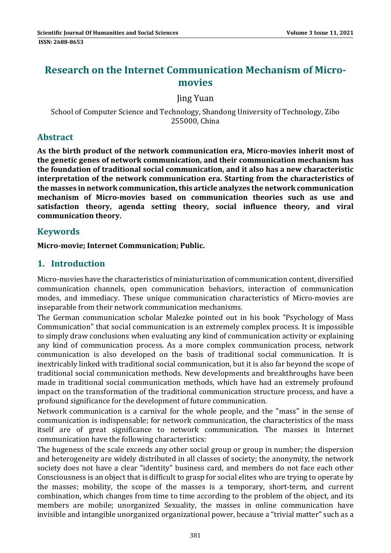# **Research on the Internet Communication Mechanism of Micro‐ movies**

Jing Yuan 

School of Computer Science and Technology, Shandong University of Technology, Zibo 255000, China

### **Abstract**

**As the birth product of the network communication era, Micro‐movies inherit most of the genetic genes of network communication, and their communication mechanism has the foundation of traditional social communication, and it also has a new characteristic interpretation of the network communication era. Starting from the characteristics of the masses in network communication,this article analyzes the network communication mechanism of Micro‐movies based on communication theories such as use and satisfaction theory, agenda setting theory, social influence theory, and viral communication theory.**

### **Keywords**

**Micro‐movie; Internet Communication; Public.**

## **1. Introduction**

Micro-movies have the characteristics of miniaturization of communication content, diversified communication channels, open communication behaviors, interaction of communication modes, and immediacy. These unique communication characteristics of Micro-movies are inseparable from their network communication mechanisms.

The German communication scholar Malezke pointed out in his book "Psychology of Mass Communication" that social communication is an extremely complex process. It is impossible to simply draw conclusions when evaluating any kind of communication activity or explaining any kind of communication process. As a more complex communication process, network communication is also developed on the basis of traditional social communication. It is inextricably linked with traditional social communication, but it is also far beyond the scope of traditional social communication methods. New developments and breakthroughs have been made in traditional social communication methods, which have had an extremely profound impact on the transformation of the traditional communication structure process, and have a profound significance for the development of future communication.

Network communication is a carnival for the whole people, and the "mass" in the sense of communication is indispensable; for network communication, the characteristics of the mass itself are of great significance to network communication. The masses in Internet communication have the following characteristics:

The hugeness of the scale exceeds any other social group or group in number; the dispersion and heterogeneity are widely distributed in all classes of society; the anonymity, the network society does not have a clear "identity" business card, and members do not face each other Consciousness is an object that is difficult to grasp for social elites who are trying to operate by the masses; mobility, the scope of the masses is a temporary, short-term, and current combination, which changes from time to time according to the problem of the object, and its members are mobile; unorganized Sexuality, the masses in online communication have invisible and intangible unorganized organizational power, because a "trivial matter" such as a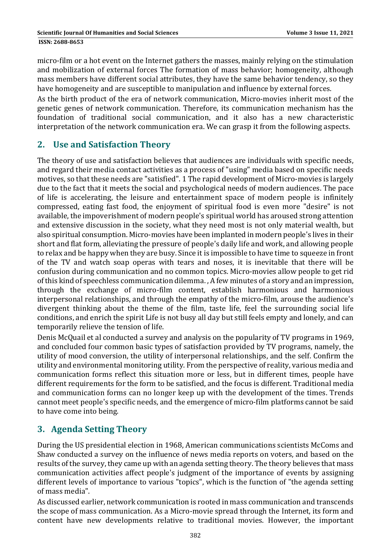micro-film or a hot event on the Internet gathers the masses, mainly relying on the stimulation and mobilization of external forces The formation of mass behavior; homogeneity, although mass members have different social attributes, they have the same behavior tendency, so they have homogeneity and are susceptible to manipulation and influence by external forces.

As the birth product of the era of network communication, Micro-movies inherit most of the genetic genes of network communication. Therefore, its communication mechanism has the foundation of traditional social communication, and it also has a new characteristic interpretation of the network communication era. We can grasp it from the following aspects.

## **2. Use and Satisfaction Theory**

The theory of use and satisfaction believes that audiences are individuals with specific needs, and regard their media contact activities as a process of "using" media based on specific needs motives, so that these needs are "satisfied". 1 The rapid development of Micro-movies is largely due to the fact that it meets the social and psychological needs of modern audiences. The pace of life is accelerating, the leisure and entertainment space of modern people is infinitely compressed, eating fast food, the enjoyment of spiritual food is even more "desire" is not available, the impoverishment of modern people's spiritual world has aroused strong attention and extensive discussion in the society, what they need most is not only material wealth, but also spiritual consumption. Micro-movies have been implanted in modern people's lives in their short and flat form, alleviating the pressure of people's daily life and work, and allowing people to relax and be happy when they are busy. Since it is impossible to have time to squeeze in front of the TV and watch soap operas with tears and noses, it is inevitable that there will be confusion during communication and no common topics. Micro-movies allow people to get rid of this kind of speechless communication dilemma., A few minutes of a story and an impression, through the exchange of micro-film content, establish harmonious and harmonious interpersonal relationships, and through the empathy of the micro-film, arouse the audience's divergent thinking about the theme of the film, taste life, feel the surrounding social life conditions, and enrich the spirit Life is not busy all day but still feels empty and lonely, and can temporarily relieve the tension of life.

Denis McQuail et al conducted a survey and analysis on the popularity of TV programs in 1969, and concluded four common basic types of satisfaction provided by TV programs, namely, the utility of mood conversion, the utility of interpersonal relationships, and the self. Confirm the utility and environmental monitoring utility. From the perspective of reality, various media and communication forms reflect this situation more or less, but in different times, people have different requirements for the form to be satisfied, and the focus is different. Traditional media and communication forms can no longer keep up with the development of the times. Trends cannot meet people's specific needs, and the emergence of micro-film platforms cannot be said to have come into being.

## **3. Agenda Setting Theory**

During the US presidential election in 1968, American communications scientists McComs and Shaw conducted a survey on the influence of news media reports on voters, and based on the results of the survey, they came up with an agenda setting theory. The theory believes that mass communication activities affect people's judgment of the importance of events by assigning different levels of importance to various "topics", which is the function of "the agenda setting of mass media".

As discussed earlier, network communication is rooted in mass communication and transcends the scope of mass communication. As a Micro-movie spread through the Internet, its form and content have new developments relative to traditional movies. However, the important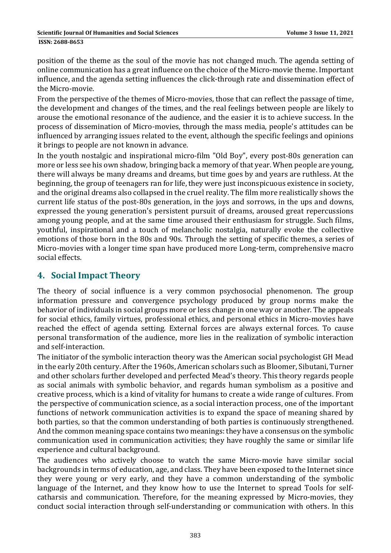position of the theme as the soul of the movie has not changed much. The agenda setting of online communication has a great influence on the choice of the Micro-movie theme. Important influence, and the agenda setting influences the click-through rate and dissemination effect of the Micro-movie.

From the perspective of the themes of Micro-movies, those that can reflect the passage of time, the development and changes of the times, and the real feelings between people are likely to arouse the emotional resonance of the audience, and the easier it is to achieve success. In the process of dissemination of Micro-movies, through the mass media, people's attitudes can be influenced by arranging issues related to the event, although the specific feelings and opinions it brings to people are not known in advance.

In the youth nostalgic and inspirational micro-film "Old Boy", every post-80s generation can more or less see his own shadow, bringing back a memory of that year. When people are young, there will always be many dreams and dreams, but time goes by and years are ruthless. At the beginning, the group of teenagers ran for life, they were just inconspicuous existence in society, and the original dreams also collapsed in the cruel reality. The film more realistically shows the current life status of the post-80s generation, in the joys and sorrows, in the ups and downs, expressed the young generation's persistent pursuit of dreams, aroused great repercussions among young people, and at the same time aroused their enthusiasm for struggle. Such films, youthful, inspirational and a touch of melancholic nostalgia, naturally evoke the collective emotions of those born in the 80s and 90s. Through the setting of specific themes, a series of Micro-movies with a longer time span have produced more Long-term, comprehensive macro social effects.

## **4. Social Impact Theory**

The theory of social influence is a very common psychosocial phenomenon. The group information pressure and convergence psychology produced by group norms make the behavior of individuals in social groups more or less change in one way or another. The appeals for social ethics, family virtues, professional ethics, and personal ethics in Micro-movies have reached the effect of agenda setting. External forces are always external forces. To cause personal transformation of the audience, more lies in the realization of symbolic interaction and self‐interaction. 

The initiator of the symbolic interaction theory was the American social psychologist GH Mead in the early 20th century. After the 1960s, American scholars such as Bloomer, Sibutani, Turner and other scholars further developed and perfected Mead's theory. This theory regards people as social animals with symbolic behavior, and regards human symbolism as a positive and creative process, which is a kind of vitality for humans to create a wide range of cultures. From the perspective of communication science, as a social interaction process, one of the important functions of network communication activities is to expand the space of meaning shared by both parties, so that the common understanding of both parties is continuously strengthened. And the common meaning space contains two meanings: they have a consensus on the symbolic communication used in communication activities; they have roughly the same or similar life experience and cultural background.

The audiences who actively choose to watch the same Micro-movie have similar social backgrounds in terms of education, age, and class. They have been exposed to the Internet since they were young or very early, and they have a common understanding of the symbolic language of the Internet, and they know how to use the Internet to spread Tools for selfcatharsis and communication. Therefore, for the meaning expressed by Micro-movies, they conduct social interaction through self-understanding or communication with others. In this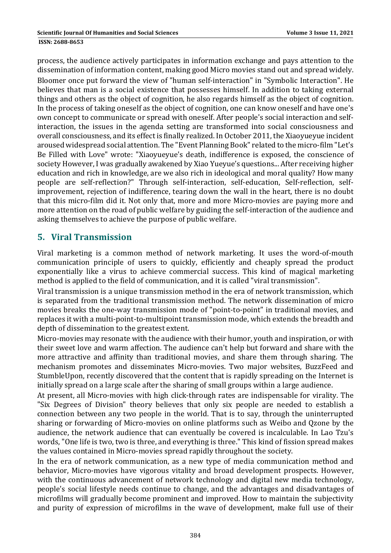#### **ISSN: 2688-8653**

process, the audience actively participates in information exchange and pays attention to the dissemination of information content, making good Micro movies stand out and spread widely. Bloomer once put forward the view of "human self-interaction" in "Symbolic Interaction". He believes that man is a social existence that possesses himself. In addition to taking external things and others as the object of cognition, he also regards himself as the object of cognition. In the process of taking oneself as the object of cognition, one can know oneself and have one's own concept to communicate or spread with oneself. After people's social interaction and selfinteraction, the issues in the agenda setting are transformed into social consciousness and overall consciousness, and its effect is finally realized. In October 2011, the Xiaoyueyue incident aroused widespread social attention. The "Event Planning Book" related to the micro-film "Let's Be Filled with Love" wrote: "Xiaoyueyue's death, indifference is exposed, the conscience of society However, I was gradually awakened by Xiao Yueyue's questions... After receiving higher education and rich in knowledge, are we also rich in ideological and moral quality? How many people are self-reflection?" Through self-interaction, self-education, Self-reflection, selfimprovement, rejection of indifference, tearing down the wall in the heart, there is no doubt that this micro-film did it. Not only that, more and more Micro-movies are paying more and more attention on the road of public welfare by guiding the self-interaction of the audience and asking themselves to achieve the purpose of public welfare.

## **5. Viral Transmission**

Viral marketing is a common method of network marketing. It uses the word-of-mouth communication principle of users to quickly, efficiently and cheaply spread the product exponentially like a virus to achieve commercial success. This kind of magical marketing method is applied to the field of communication, and it is called "viral transmission".

Viral transmission is a unique transmission method in the era of network transmission, which is separated from the traditional transmission method. The network dissemination of micro movies breaks the one-way transmission mode of "point-to-point" in traditional movies, and replaces it with a multi-point-to-multipoint transmission mode, which extends the breadth and depth of dissemination to the greatest extent.

Micro-movies may resonate with the audience with their humor, youth and inspiration, or with their sweet love and warm affection. The audience can't help but forward and share with the more attractive and affinity than traditional movies, and share them through sharing. The mechanism promotes and disseminates Micro-movies. Two major websites, BuzzFeed and StumbleUpon, recently discovered that the content that is rapidly spreading on the Internet is initially spread on a large scale after the sharing of small groups within a large audience.

At present, all Micro-movies with high click-through rates are indispensable for virality. The "Six Degrees of Division" theory believes that only six people are needed to establish a connection between any two people in the world. That is to say, through the uninterrupted sharing or forwarding of Micro-movies on online platforms such as Weibo and Qzone by the audience, the network audience that can eventually be covered is incalculable. In Lao Tzu's words, "One life is two, two is three, and everything is three." This kind of fission spread makes the values contained in Micro-movies spread rapidly throughout the society.

In the era of network communication, as a new type of media communication method and behavior, Micro-movies have vigorous vitality and broad development prospects. However, with the continuous advancement of network technology and digital new media technology, people's social lifestyle needs continue to change, and the advantages and disadvantages of microfilms will gradually become prominent and improved. How to maintain the subjectivity and purity of expression of microfilms in the wave of development, make full use of their